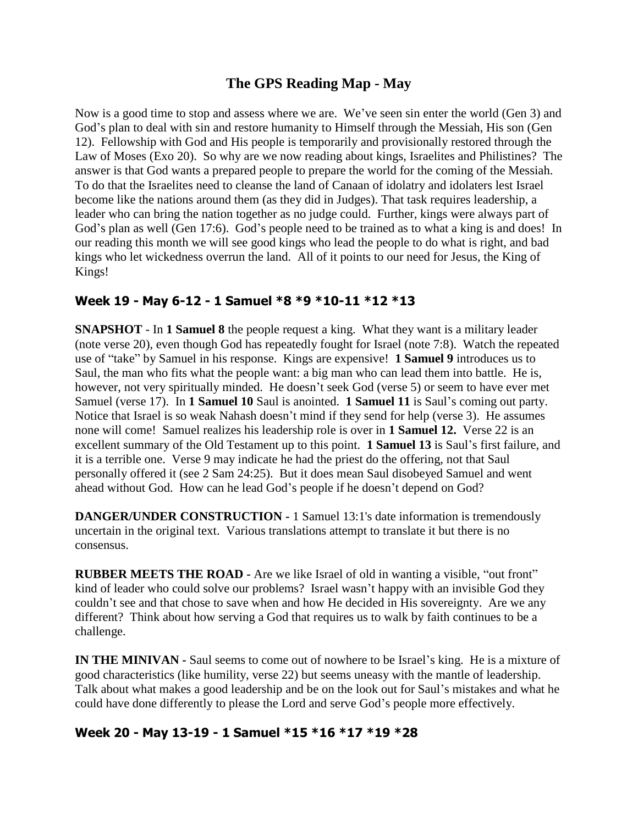## **The GPS Reading Map - May**

Now is a good time to stop and assess where we are. We've seen sin enter the world (Gen 3) and God's plan to deal with sin and restore humanity to Himself through the Messiah, His son (Gen 12). Fellowship with God and His people is temporarily and provisionally restored through the Law of Moses (Exo 20). So why are we now reading about kings, Israelites and Philistines? The answer is that God wants a prepared people to prepare the world for the coming of the Messiah. To do that the Israelites need to cleanse the land of Canaan of idolatry and idolaters lest Israel become like the nations around them (as they did in Judges). That task requires leadership, a leader who can bring the nation together as no judge could. Further, kings were always part of God's plan as well (Gen 17:6). God's people need to be trained as to what a king is and does! In our reading this month we will see good kings who lead the people to do what is right, and bad kings who let wickedness overrun the land. All of it points to our need for Jesus, the King of Kings!

#### **Week 19 - May 6-12 - 1 Samuel \*8 \*9 \*10-11 \*12 \*13**

**SNAPSHOT** - In **1 Samuel 8** the people request a king. What they want is a military leader (note verse 20), even though God has repeatedly fought for Israel (note 7:8). Watch the repeated use of "take" by Samuel in his response. Kings are expensive! **1 Samuel 9** introduces us to Saul, the man who fits what the people want: a big man who can lead them into battle. He is, however, not very spiritually minded. He doesn't seek God (verse 5) or seem to have ever met Samuel (verse 17). In **1 Samuel 10** Saul is anointed. **1 Samuel 11** is Saul's coming out party. Notice that Israel is so weak Nahash doesn't mind if they send for help (verse 3). He assumes none will come! Samuel realizes his leadership role is over in **1 Samuel 12.** Verse 22 is an excellent summary of the Old Testament up to this point. **1 Samuel 13** is Saul's first failure, and it is a terrible one. Verse 9 may indicate he had the priest do the offering, not that Saul personally offered it (see 2 Sam 24:25). But it does mean Saul disobeyed Samuel and went ahead without God. How can he lead God's people if he doesn't depend on God?

**DANGER/UNDER CONSTRUCTION -** 1 Samuel 13:1's date information is tremendously uncertain in the original text. Various translations attempt to translate it but there is no consensus.

**RUBBER MEETS THE ROAD -** Are we like Israel of old in wanting a visible, "out front" kind of leader who could solve our problems? Israel wasn't happy with an invisible God they couldn't see and that chose to save when and how He decided in His sovereignty. Are we any different? Think about how serving a God that requires us to walk by faith continues to be a challenge.

**IN THE MINIVAN -** Saul seems to come out of nowhere to be Israel's king. He is a mixture of good characteristics (like humility, verse 22) but seems uneasy with the mantle of leadership. Talk about what makes a good leadership and be on the look out for Saul's mistakes and what he could have done differently to please the Lord and serve God's people more effectively.

### **Week 20 - May 13-19 - 1 Samuel \*15 \*16 \*17 \*19 \*28**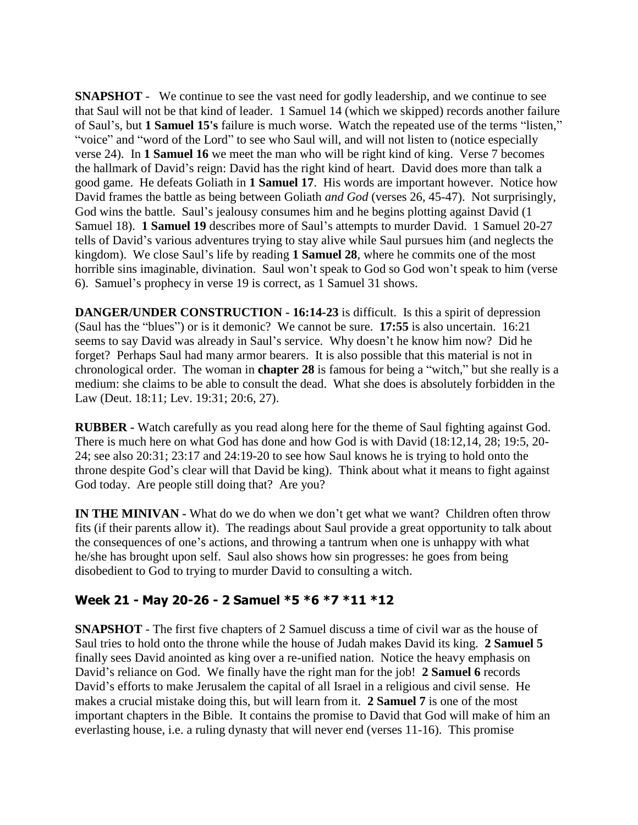**SNAPSHOT** - We continue to see the vast need for godly leadership, and we continue to see that Saul will not be that kind of leader. 1 Samuel 14 (which we skipped) records another failure of Saul's, but **1 Samuel 15's** failure is much worse. Watch the repeated use of the terms "listen," "voice" and "word of the Lord" to see who Saul will, and will not listen to (notice especially verse 24). In **1 Samuel 16** we meet the man who will be right kind of king. Verse 7 becomes the hallmark of David's reign: David has the right kind of heart. David does more than talk a good game. He defeats Goliath in **1 Samuel 17**. His words are important however. Notice how David frames the battle as being between Goliath *and God* (verses 26, 45-47). Not surprisingly, God wins the battle. Saul's jealousy consumes him and he begins plotting against David (1 Samuel 18). **1 Samuel 19** describes more of Saul's attempts to murder David. 1 Samuel 20-27 tells of David's various adventures trying to stay alive while Saul pursues him (and neglects the kingdom). We close Saul's life by reading **1 Samuel 28**, where he commits one of the most horrible sins imaginable, divination. Saul won't speak to God so God won't speak to him (verse 6). Samuel's prophecy in verse 19 is correct, as 1 Samuel 31 shows.

**DANGER/UNDER CONSTRUCTION - 16:14-23** is difficult. Is this a spirit of depression (Saul has the "blues") or is it demonic? We cannot be sure. **17:55** is also uncertain. 16:21 seems to say David was already in Saul's service. Why doesn't he know him now? Did he forget? Perhaps Saul had many armor bearers. It is also possible that this material is not in chronological order. The woman in **chapter 28** is famous for being a "witch," but she really is a medium: she claims to be able to consult the dead. What she does is absolutely forbidden in the Law (Deut. 18:11; Lev. 19:31; 20:6, 27).

**RUBBER -** Watch carefully as you read along here for the theme of Saul fighting against God. There is much here on what God has done and how God is with David (18:12,14, 28; 19:5, 20- 24; see also 20:31; 23:17 and 24:19-20 to see how Saul knows he is trying to hold onto the throne despite God's clear will that David be king). Think about what it means to fight against God today. Are people still doing that? Are you?

**IN THE MINIVAN** - What do we do when we don't get what we want? Children often throw fits (if their parents allow it). The readings about Saul provide a great opportunity to talk about the consequences of one's actions, and throwing a tantrum when one is unhappy with what he/she has brought upon self. Saul also shows how sin progresses: he goes from being disobedient to God to trying to murder David to consulting a witch.

### **Week 21 - May 20-26 - 2 Samuel \*5 \*6 \*7 \*11 \*12**

**SNAPSHOT** - The first five chapters of 2 Samuel discuss a time of civil war as the house of Saul tries to hold onto the throne while the house of Judah makes David its king. **2 Samuel 5** finally sees David anointed as king over a re-unified nation. Notice the heavy emphasis on David's reliance on God. We finally have the right man for the job! **2 Samuel 6** records David's efforts to make Jerusalem the capital of all Israel in a religious and civil sense. He makes a crucial mistake doing this, but will learn from it. **2 Samuel 7** is one of the most important chapters in the Bible. It contains the promise to David that God will make of him an everlasting house, i.e. a ruling dynasty that will never end (verses 11-16). This promise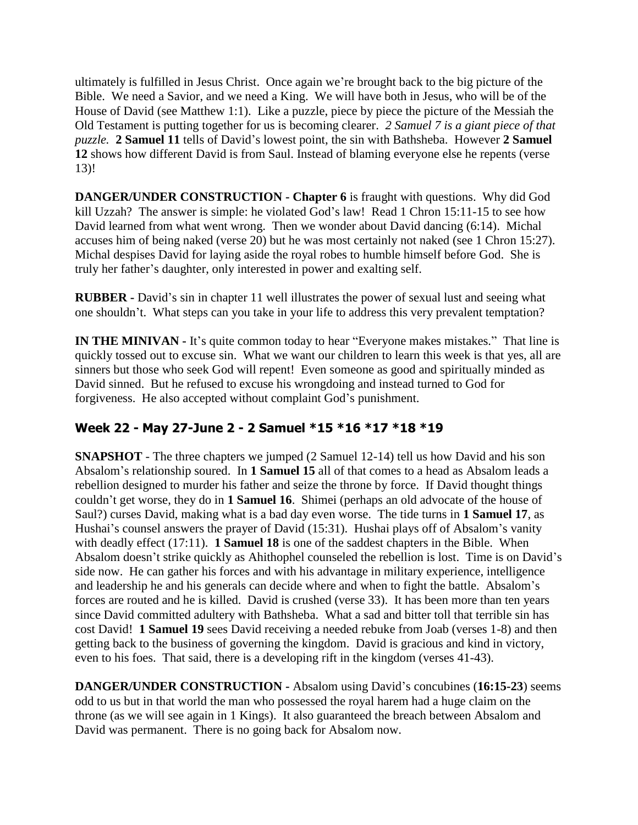ultimately is fulfilled in Jesus Christ. Once again we're brought back to the big picture of the Bible. We need a Savior, and we need a King. We will have both in Jesus, who will be of the House of David (see Matthew 1:1). Like a puzzle, piece by piece the picture of the Messiah the Old Testament is putting together for us is becoming clearer. *2 Samuel 7 is a giant piece of that puzzle.* **2 Samuel 11** tells of David's lowest point, the sin with Bathsheba. However **2 Samuel 12** shows how different David is from Saul. Instead of blaming everyone else he repents (verse 13)!

**DANGER/UNDER CONSTRUCTION - Chapter 6** is fraught with questions. Why did God kill Uzzah? The answer is simple: he violated God's law! Read 1 Chron 15:11-15 to see how David learned from what went wrong. Then we wonder about David dancing (6:14). Michal accuses him of being naked (verse 20) but he was most certainly not naked (see 1 Chron 15:27). Michal despises David for laying aside the royal robes to humble himself before God. She is truly her father's daughter, only interested in power and exalting self.

**RUBBER -** David's sin in chapter 11 well illustrates the power of sexual lust and seeing what one shouldn't. What steps can you take in your life to address this very prevalent temptation?

**IN THE MINIVAN -** It's quite common today to hear "Everyone makes mistakes." That line is quickly tossed out to excuse sin. What we want our children to learn this week is that yes, all are sinners but those who seek God will repent! Even someone as good and spiritually minded as David sinned. But he refused to excuse his wrongdoing and instead turned to God for forgiveness. He also accepted without complaint God's punishment.

# **Week 22 - May 27-June 2 - 2 Samuel \*15 \*16 \*17 \*18 \*19**

**SNAPSHOT** - The three chapters we jumped (2 Samuel 12-14) tell us how David and his son Absalom's relationship soured. In **1 Samuel 15** all of that comes to a head as Absalom leads a rebellion designed to murder his father and seize the throne by force. If David thought things couldn't get worse, they do in **1 Samuel 16**. Shimei (perhaps an old advocate of the house of Saul?) curses David, making what is a bad day even worse. The tide turns in **1 Samuel 17**, as Hushai's counsel answers the prayer of David (15:31). Hushai plays off of Absalom's vanity with deadly effect (17:11). **1 Samuel 18** is one of the saddest chapters in the Bible. When Absalom doesn't strike quickly as Ahithophel counseled the rebellion is lost. Time is on David's side now. He can gather his forces and with his advantage in military experience, intelligence and leadership he and his generals can decide where and when to fight the battle. Absalom's forces are routed and he is killed. David is crushed (verse 33). It has been more than ten years since David committed adultery with Bathsheba. What a sad and bitter toll that terrible sin has cost David! **1 Samuel 19** sees David receiving a needed rebuke from Joab (verses 1-8) and then getting back to the business of governing the kingdom. David is gracious and kind in victory, even to his foes. That said, there is a developing rift in the kingdom (verses 41-43).

**DANGER/UNDER CONSTRUCTION -** Absalom using David's concubines (**16:15-23**) seems odd to us but in that world the man who possessed the royal harem had a huge claim on the throne (as we will see again in 1 Kings). It also guaranteed the breach between Absalom and David was permanent. There is no going back for Absalom now.